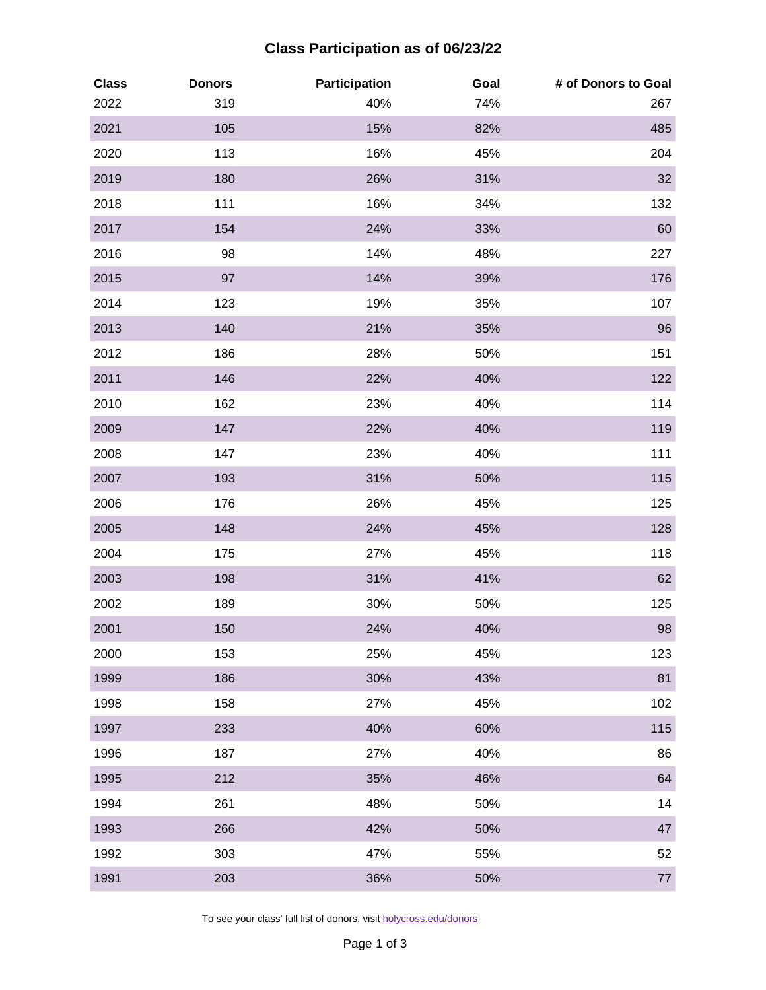## **Class Participation as of 06/23/22**

| <b>Class</b><br>2022 | <b>Donors</b><br>319 | Participation<br>40% | Goal<br>74% | # of Donors to Goal<br>267 |
|----------------------|----------------------|----------------------|-------------|----------------------------|
| 2021                 | 105                  | 15%                  | 82%         | 485                        |
| 2020                 | 113                  | 16%                  | 45%         | 204                        |
| 2019                 | 180                  | 26%                  | 31%         | 32                         |
| 2018                 | 111                  | 16%                  | 34%         | 132                        |
| 2017                 | 154                  | 24%                  | 33%         | 60                         |
| 2016                 | 98                   | 14%                  | 48%         | 227                        |
| 2015                 | 97                   | 14%                  | 39%         | 176                        |
| 2014                 | 123                  | 19%                  | 35%         | 107                        |
| 2013                 | 140                  | 21%                  | 35%         | 96                         |
| 2012                 | 186                  | 28%                  | 50%         | 151                        |
| 2011                 | 146                  | 22%                  | 40%         | 122                        |
| 2010                 | 162                  | 23%                  | 40%         | 114                        |
| 2009                 | 147                  | 22%                  | 40%         | 119                        |
| 2008                 | 147                  | 23%                  | 40%         | 111                        |
| 2007                 | 193                  | 31%                  | 50%         | 115                        |
| 2006                 | 176                  | 26%                  | 45%         | 125                        |
| 2005                 | 148                  | 24%                  | 45%         | 128                        |
| 2004                 | 175                  | 27%                  | 45%         | 118                        |
| 2003                 | 198                  | 31%                  | 41%         | 62                         |
| 2002                 | 189                  | 30%                  | 50%         | 125                        |
| 2001                 | 150                  | 24%                  | 40%         | 98                         |
| 2000                 | 153                  | 25%                  | 45%         | 123                        |
| 1999                 | 186                  | 30%                  | 43%         | 81                         |
| 1998                 | 158                  | 27%                  | 45%         | 102                        |
| 1997                 | 233                  | 40%                  | 60%         | 115                        |
| 1996                 | 187                  | 27%                  | 40%         | 86                         |
| 1995                 | 212                  | 35%                  | 46%         | 64                         |
| 1994                 | 261                  | 48%                  | 50%         | 14                         |
| 1993                 | 266                  | 42%                  | 50%         | 47                         |
| 1992                 | 303                  | 47%                  | 55%         | 52                         |
| 1991                 | 203                  | 36%                  | 50%         | $77 \,$                    |

To see your class' full list of donors, visit [holycross.edu/donors](https://www.holycross.edu/alumni/alumni/support/donor-recognition/honor-roll-donors)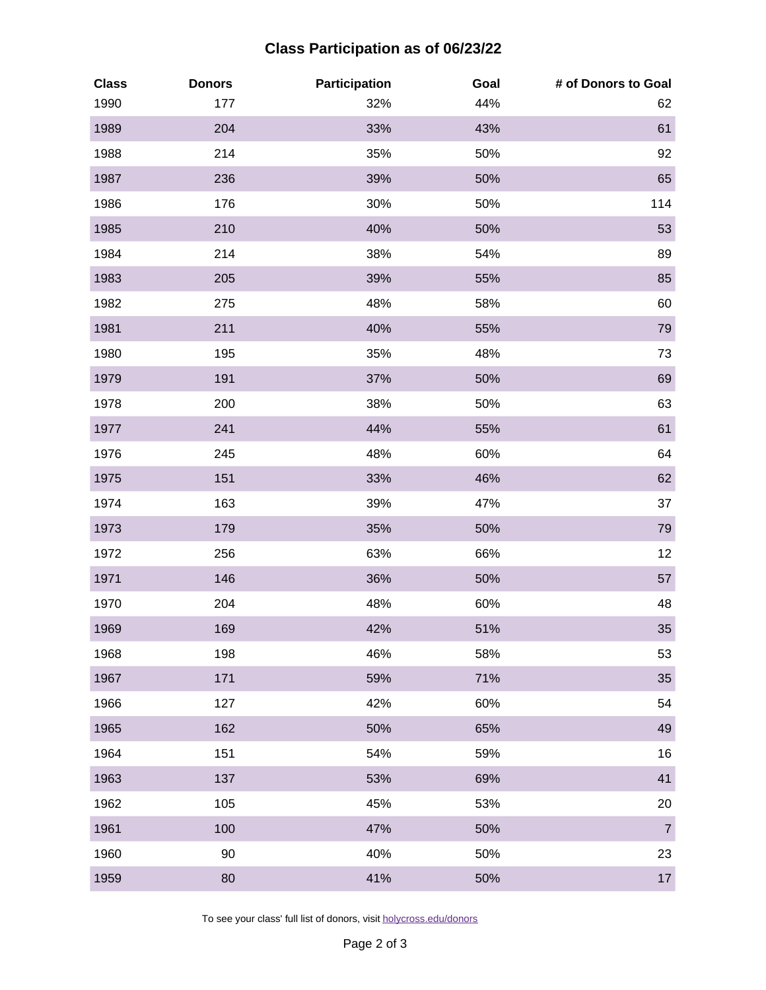## **Class Participation as of 06/23/22**

| <b>Class</b> | <b>Donors</b> | Participation | Goal | # of Donors to Goal |
|--------------|---------------|---------------|------|---------------------|
| 1990         | 177           | 32%           | 44%  | 62                  |
| 1989         | 204           | 33%           | 43%  | 61                  |
| 1988         | 214           | 35%           | 50%  | 92                  |
| 1987         | 236           | 39%           | 50%  | 65                  |
| 1986         | 176           | 30%           | 50%  | 114                 |
| 1985         | 210           | 40%           | 50%  | 53                  |
| 1984         | 214           | 38%           | 54%  | 89                  |
| 1983         | 205           | 39%           | 55%  | 85                  |
| 1982         | 275           | 48%           | 58%  | 60                  |
| 1981         | 211           | 40%           | 55%  | 79                  |
| 1980         | 195           | 35%           | 48%  | 73                  |
| 1979         | 191           | 37%           | 50%  | 69                  |
| 1978         | 200           | 38%           | 50%  | 63                  |
| 1977         | 241           | 44%           | 55%  | 61                  |
| 1976         | 245           | 48%           | 60%  | 64                  |
| 1975         | 151           | 33%           | 46%  | 62                  |
| 1974         | 163           | 39%           | 47%  | 37                  |
| 1973         | 179           | 35%           | 50%  | 79                  |
| 1972         | 256           | 63%           | 66%  | 12                  |
| 1971         | 146           | 36%           | 50%  | 57                  |
| 1970         | 204           | 48%           | 60%  | 48                  |
| 1969         | 169           | 42%           | 51%  | 35                  |
| 1968         | 198           | 46%           | 58%  | 53                  |
| 1967         | 171           | 59%           | 71%  | 35                  |
| 1966         | 127           | 42%           | 60%  | 54                  |
| 1965         | 162           | 50%           | 65%  | 49                  |
| 1964         | 151           | 54%           | 59%  | 16                  |
| 1963         | 137           | 53%           | 69%  | 41                  |
| 1962         | 105           | 45%           | 53%  | 20                  |
| 1961         | 100           | 47%           | 50%  | $\overline{7}$      |
| 1960         | 90            | 40%           | 50%  | 23                  |
| 1959         | 80            | 41%           | 50%  | $17\,$              |

To see your class' full list of donors, visit [holycross.edu/donors](https://www.holycross.edu/alumni/alumni/support/donor-recognition/honor-roll-donors)